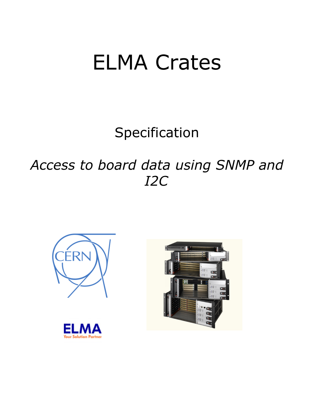# ELMA Crates

Specification

*Access to board data using SNMP and I2C*





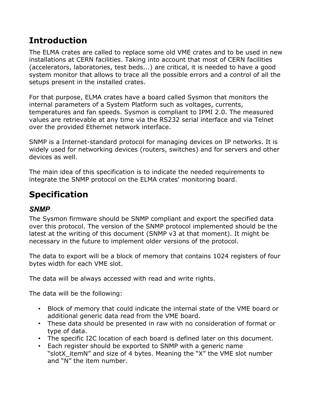## **Introduction**

The ELMA crates are called to replace some old VME crates and to be used in new installations at CERN facilities. Taking into account that most of CERN facilities (accelerators, laboratories, test beds...) are critical, it is needed to have a good system monitor that allows to trace all the possible errors and a control of all the setups present in the installed crates.

For that purpose, ELMA crates have a board called Sysmon that monitors the internal parameters of a System Platform such as voltages, currents, temperatures and fan speeds. Sysmon is compliant to IPMI 2.0. The measured values are retrievable at any time via the RS232 serial interface and via Telnet over the provided Ethernet network interface.

SNMP is a Internet-standard protocol for managing devices on IP networks. It is widely used for networking devices (routers, switches) and for servers and other devices as well.

The main idea of this specification is to indicate the needed requirements to integrate the SNMP protocol on the ELMA crates' monitoring board.

## **Specification**

#### *SNMP*

The Sysmon firmware should be SNMP compliant and export the specified data over this protocol. The version of the SNMP protocol implemented should be the latest at the writing of this document (SNMP v3 at that moment). It might be necessary in the future to implement older versions of the protocol.

The data to export will be a block of memory that contains 1024 registers of four bytes width for each VME slot.

The data will be always accessed with read and write rights.

The data will be the following:

- Block of memory that could indicate the internal state of the VME board or additional generic data read from the VME board.
- These data should be presented in raw with no consideration of format or type of data.
- The specific I2C location of each board is defined later on this document.
- Each register should be exported to SNMP with a generic name "slotX itemN" and size of 4 bytes. Meaning the "X" the VME slot number and "N" the item number.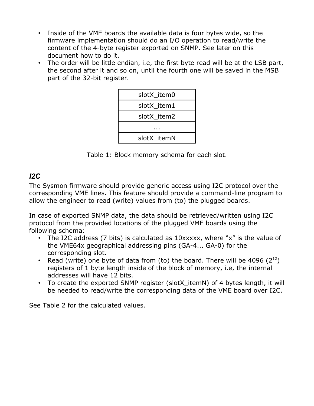- Inside of the VME boards the available data is four bytes wide, so the firmware implementation should do an I/O operation to read/write the content of the 4-byte register exported on SNMP. See later on this document how to do it.
- The order will be little endian, i.e, the first byte read will be at the LSB part, the second after it and so on, until the fourth one will be saved in the MSB part of the 32-bit register.

| slotX item0 |  |  |
|-------------|--|--|
| slotX item1 |  |  |
| slotX item2 |  |  |
|             |  |  |
| slotX itemN |  |  |

Table 1: Block memory schema for each slot.

### *I2C*

The Sysmon firmware should provide generic access using I2C protocol over the corresponding VME lines. This feature should provide a command-line program to allow the engineer to read (write) values from (to) the plugged boards.

In case of exported SNMP data, the data should be retrieved/written using I2C protocol from the provided locations of the plugged VME boards using the following schema:

- The I2C address (7 bits) is calculated as 10xxxxx, where "x" is the value of the VME64x geographical addressing pins (GA-4... GA-0) for the corresponding slot.
- Read (write) one byte of data from (to) the board. There will be 4096  $(2^{12})$ registers of 1 byte length inside of the block of memory, i.e, the internal addresses will have 12 bits.
- To create the exported SNMP register (slotX itemN) of 4 bytes length, it will be needed to read/write the corresponding data of the VME board over I2C.

See Table 2 for the calculated values.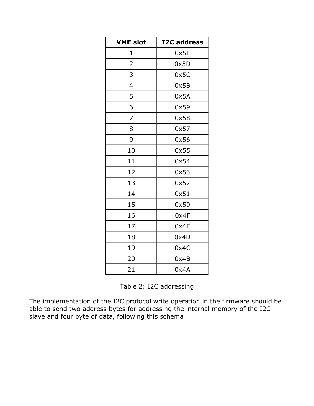| <b>VME slot</b> | <b>I2C address</b> |
|-----------------|--------------------|
| 1               | 0x5E               |
| 2               | 0x5D               |
| 3               | 0x5C               |
| 4               | 0x5B               |
| 5               | 0x5A               |
| 6               | 0x59               |
| 7               | 0x58               |
| 8               | 0x57               |
| 9               | 0x56               |
| 10              | 0x55               |
| 11              | 0x54               |
| 12              | 0x53               |
| 13              | 0x52               |
| 14              | 0x51               |
| 15              | 0x50               |
| 16              | 0x4F               |
| 17              | 0x4E               |
| 18              | 0x4D               |
| 19              | 0x4C               |
| 20              | 0x4B               |
| 21              | 0x4A               |

The implementation of the I2C protocol write operation in the firmware should be able to send two address bytes for addressing the internal memory of the I2C slave and four byte of data, following this schema: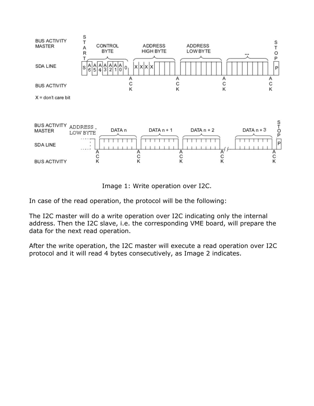

Image 1: Write operation over I2C.

In case of the read operation, the protocol will be the following:

The I2C master will do a write operation over I2C indicating only the internal address. Then the I2C slave, i.e. the corresponding VME board, will prepare the data for the next read operation.

After the write operation, the I2C master will execute a read operation over I2C protocol and it will read 4 bytes consecutively, as Image 2 indicates.